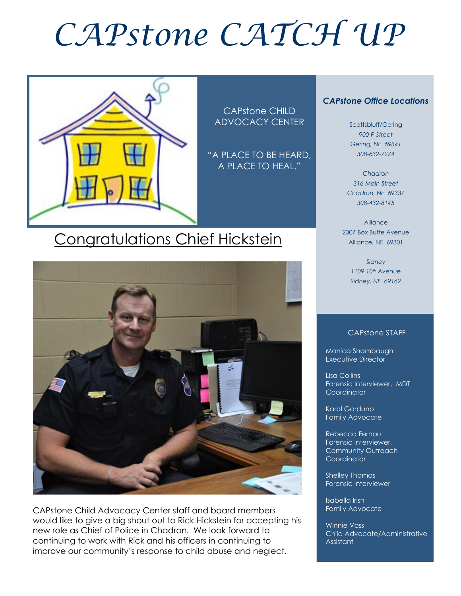# *CAPstone CATCH UP*



CAPstone CHILD ADVOCACY CENTER

"A PLACE TO BE HEARD, A PLACE TO HEAL."

## Congratulations Chief Hickstein



CAPstone Child Advocacy Center staff and board members would like to give a big shout out to Rick Hickstein for accepting his new role as Chief of Police in Chadron. We look forward to continuing to work with Rick and his officers in continuing to improve our community's response to child abuse and neglect.

#### *CAPstone Office Locations*

Scottsbluff/Gering *900 P Street Gering, NE 69341 308-632-7274*

*Chadron 316 Main Street Chadron, NE 69337 308-432-8145*

Alliance 2307 Box Butte Avenue Alliance, NE 69301

> *Sidney 1109 10th Avenue Sidney, NE 69162*

#### CAPstone STAFF

Monica Shambaugh Executive Director

Lisa Collins Forensic Interviewer, MDT **Coordinator** 

Karol Garduno Family Advocate

Rebecca Fernau Forensic Interviewer, Community Outreach **Coordinator** 

Shelley Thomas Forensic Interviewer

Isabella Irish Family Advocate

Winnie Voss Child Advocate/Administrative **Assistant**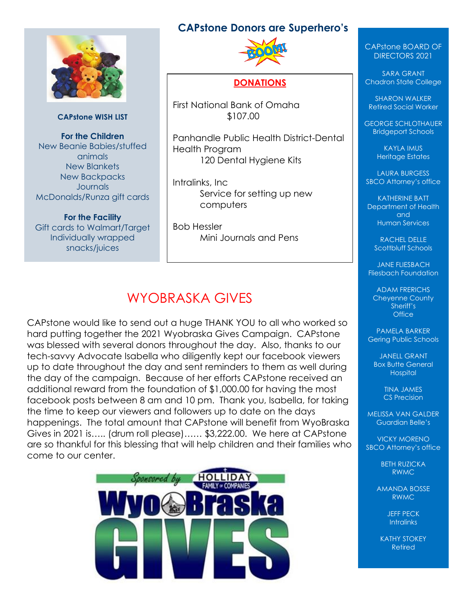#### **CAPstone Donors are Superhero's**



**CAPstone WISH LIST**

**For the Children** New Beanie Babies/stuffed animals New Blankets New Backpacks **Journals** McDonalds/Runza gift cards

**For the Facility** Gift cards to Walmart/Target Individually wrapped snacks/juices



#### **DONATIONS**

First National Bank of Omaha \$107.00

Panhandle Public Health District-Dental Health Program 120 Dental Hygiene Kits

Intralinks, Inc Service for setting up new computers

Bob Hessler Mini Journals and Pens

## WYOBRASKA GIVES

CAPstone would like to send out a huge THANK YOU to all who worked so hard putting together the 2021 Wyobraska Gives Campaign. CAPstone was blessed with several donors throughout the day. Also, thanks to our tech-savvy Advocate Isabella who diligently kept our facebook viewers up to date throughout the day and sent reminders to them as well during the day of the campaign. Because of her efforts CAPstone received an additional reward from the foundation of \$1,000.00 for having the most facebook posts between 8 am and 10 pm. Thank you, Isabella, for taking the time to keep our viewers and followers up to date on the days happenings. The total amount that CAPstone will benefit from WyoBraska Gives in 2021 is….. (drum roll please)…… \$3,222.00. We here at CAPstone are so thankful for this blessing that will help children and their families who come to our center.



#### CAPstone BOARD OF DIRECTORS 2021

SARA GRANT Chadron State College

SHARON WALKER Retired Social Worker

GEORGE SCHLOTHAUER Bridgeport Schools

> KAYLA IMUS Heritage Estates

LAURA BURGESS SBCO Attorney's office

KATHERINE BATT Department of Health and Human Services

> RACHEL DELLE Scottbluff Schools

JANE FLIESBACH Fliesbach Foundation

ADAM FRERICHS Cheyenne County Sheriff's **Office** 

PAMELA BARKER Gering Public Schools

JANELL GRANT Box Butte General **Hospital** 

> TINA JAMES CS Precision

MELISSA VAN GALDER Guardian Belle's

VICKY MORENO SBCO Attorney's office

> BETH RUZICKA RWMC

AMANDA BOSSE RWMC

> JEFF PECK **Intralinks**

KATHY STOKEY Retired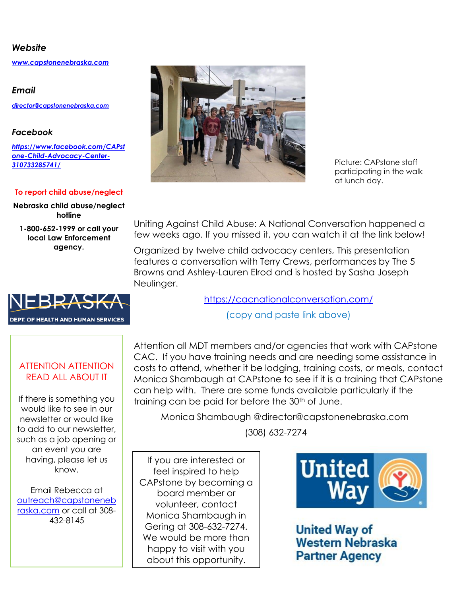#### *Website*

*[www.capstonenebraska.com](http://www.capstonenebraska.com/)*

*Email*

*[director@capstonenebraska.com](mailto:director@capstonenebraska.com)*

#### *Facebook*

*[https://www.facebook.com/CAPst](https://www.facebook.com/CAPstone-Child-Advocacy-Center-310733285741/) [one-Child-Advocacy-Center-](https://www.facebook.com/CAPstone-Child-Advocacy-Center-310733285741/)[310733285741/](https://www.facebook.com/CAPstone-Child-Advocacy-Center-310733285741/)*

#### **To report child abuse/neglect**

**Nebraska child abuse/neglect hotline**

**1-800-652-1999 or call your local Law Enforcement agency.**



Picture: CAPstone staff participating in the walk at lunch day.

Uniting Against Child Abuse: A National Conversation happened a few weeks ago. If you missed it, you can watch it at the link below!

Organized by twelve child advocacy centers, This presentation features a conversation with Terry Crews, performances by The 5 Browns and Ashley-Lauren Elrod and is hosted by Sasha Joseph Neulinger.

<https://cacnationalconversation.com/>

(copy and paste link above)

#### ATTENTION ATTENTION READ ALL ABOUT IT

DEPT. OF HEALTH AND HUMAN SERVICES

If there is something you would like to see in our newsletter or would like to add to our newsletter, such as a job opening or an event you are having, please let us know.

Email Rebecca at [outreach@capstoneneb](mailto:outreach@capstonenebraska.com) [raska.com](mailto:outreach@capstonenebraska.com) or call at 308- 432-8145

Page 2

Attention all MDT members and/or agencies that work with CAPstone CAC. If you have training needs and are needing some assistance in costs to attend, whether it be lodging, training costs, or meals, contact Monica Shambaugh at CAPstone to see if it is a training that CAPstone can help with. There are some funds available particularly if the training can be paid for before the 30<sup>th</sup> of June.

Monica Shambaugh @director@capstonenebraska.com

(308) 632-7274

If you are interested or feel inspired to help CAPstone by becoming a board member or volunteer, contact Monica Shambaugh in Gering at 308-632-7274. We would be more than happy to visit with you about this opportunity.



**United Way of Western Nebraska Partner Agency**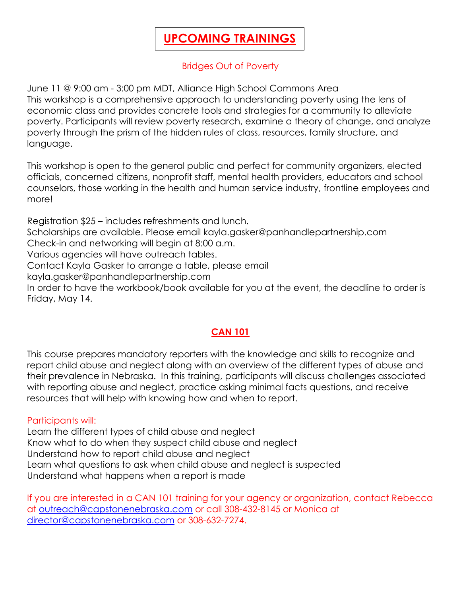### **UPCOMING TRAININGS**

#### Bridges Out of Poverty

June 11 @ 9:00 am - 3:00 pm MDT, Alliance High School Commons Area This workshop is a comprehensive approach to understanding poverty using the lens of economic class and provides concrete tools and strategies for a community to alleviate poverty. Participants will review poverty research, examine a theory of change, and analyze poverty through the prism of the hidden rules of class, resources, family structure, and language.

This workshop is open to the general public and perfect for community organizers, elected officials, concerned citizens, nonprofit staff, mental health providers, educators and school counselors, those working in the health and human service industry, frontline employees and more!

Registration \$25 – includes refreshments and lunch. Scholarships are available. Please email kayla.gasker@panhandlepartnership.com Check-in and networking will begin at 8:00 a.m. Various agencies will have outreach tables. Contact Kayla Gasker to arrange a table, please email kayla.gasker@panhandlepartnership.com In order to have the workbook/book available for you at the event, the deadline to order is Friday, May 14.

#### **CAN 101**

This course prepares mandatory reporters with the knowledge and skills to recognize and report child abuse and neglect along with an overview of the different types of abuse and their prevalence in Nebraska. In this training, participants will discuss challenges associated with reporting abuse and neglect, practice asking minimal facts questions, and receive resources that will help with knowing how and when to report.

#### Participants will:

Learn the different types of child abuse and neglect Know what to do when they suspect child abuse and neglect Understand how to report child abuse and neglect Learn what questions to ask when child abuse and neglect is suspected Understand what happens when a report is made

If you are interested in a CAN 101 training for your agency or organization, contact Rebecca at [outreach@capstonenebraska.com](mailto:outreach@capstonenebraska.com) or call 308-432-8145 or Monica at [director@capstonenebraska.com](mailto:director@capstonenebraska.com) or 308-632-7274.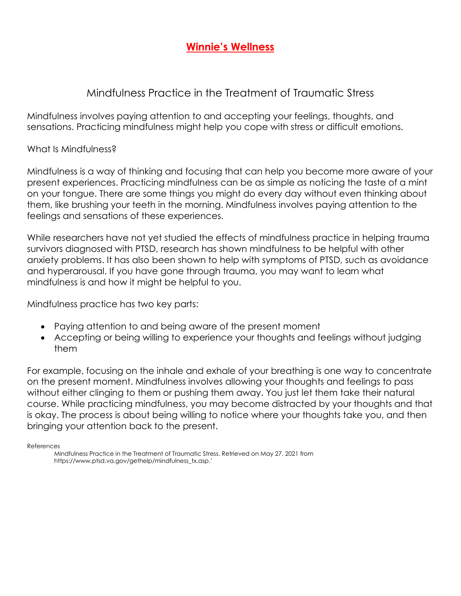#### **Winnie's Wellness**

#### Mindfulness Practice in the Treatment of Traumatic Stress

Mindfulness involves paying attention to and accepting your feelings, thoughts, and sensations. Practicing mindfulness might help you cope with stress or difficult emotions.

What Is Mindfulness?

Mindfulness is a way of thinking and focusing that can help you become more aware of your present experiences. Practicing mindfulness can be as simple as noticing the taste of a mint on your tongue. There are some things you might do every day without even thinking about them, like brushing your teeth in the morning. Mindfulness involves paying attention to the feelings and sensations of these experiences.

While researchers have not yet studied the effects of mindfulness practice in helping trauma survivors diagnosed with PTSD, research has shown mindfulness to be helpful with other anxiety problems. It has also been shown to help with symptoms of PTSD, such as avoidance and hyperarousal. If you have gone through trauma, you may want to learn what mindfulness is and how it might be helpful to you.

Mindfulness practice has two key parts:

- Paying attention to and being aware of the present moment
- Accepting or being willing to experience your thoughts and feelings without judging them

For example, focusing on the inhale and exhale of your breathing is one way to concentrate on the present moment. Mindfulness involves allowing your thoughts and feelings to pass without either clinging to them or pushing them away. You just let them take their natural course. While practicing mindfulness, you may become distracted by your thoughts and that is okay. The process is about being willing to notice where your thoughts take you, and then bringing your attention back to the present.

**References** 

Mindfulness Practice in the Treatment of Traumatic Stress. Retrieved on May 27, 2021 from https://www.ptsd.va.gov/gethelp/mindfulness\_tx.asp.'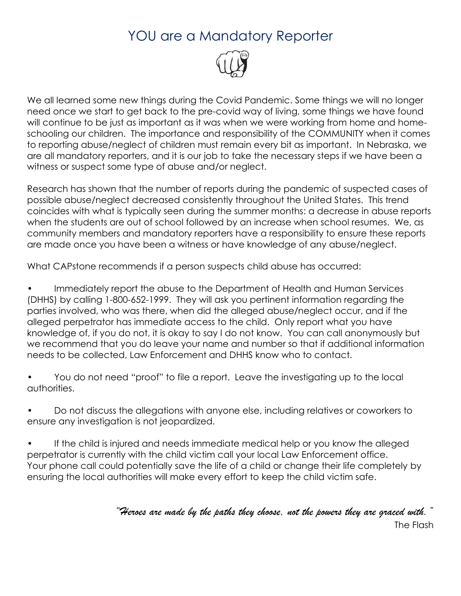## YOU are a Mandatory Reporter



We all learned some new things during the Covid Pandemic. Some things we will no longer need once we start to get back to the pre-covid way of living, some things we have found will continue to be just as important as it was when we were working from home and homeschooling our children. The importance and responsibility of the COMMUNITY when it comes to reporting abuse/neglect of children must remain every bit as important. In Nebraska, we are all mandatory reporters, and it is our job to take the necessary steps if we have been a witness or suspect some type of abuse and/or neglect.

Research has shown that the number of reports during the pandemic of suspected cases of possible abuse/neglect decreased consistently throughout the United States. This trend coincides with what is typically seen during the summer months: a decrease in abuse reports when the students are out of school followed by an increase when school resumes. We, as community members and mandatory reporters have a responsibility to ensure these reports are made once you have been a witness or have knowledge of any abuse/neglect.

What CAPstone recommends if a person suspects child abuse has occurred:

• Immediately report the abuse to the Department of Health and Human Services (DHHS) by calling 1-800-652-1999. They will ask you pertinent information regarding the parties involved, who was there, when did the alleged abuse/neglect occur, and if the alleged perpetrator has immediate access to the child. Only report what you have knowledge of, if you do not, it is okay to say I do not know. You can call anonymously but we recommend that you do leave your name and number so that if additional information needs to be collected, Law Enforcement and DHHS know who to contact.

• You do not need "proof" to file a report. Leave the investigating up to the local authorities.

• Do not discuss the allegations with anyone else, including relatives or coworkers to ensure any investigation is not jeopardized.

If the child is injured and needs immediate medical help or you know the alleged perpetrator is currently with the child victim call your local Law Enforcement office. Your phone call could potentially save the life of a child or change their life completely by ensuring the local authorities will make every effort to keep the child victim safe.

*"Heroes are made by the paths they choose, not the powers they are graced with."*

The Flash